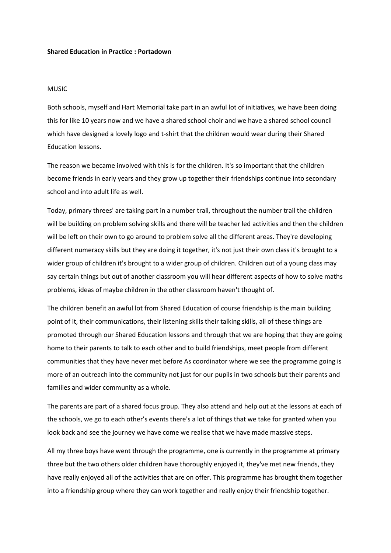## **Shared Education in Practice : Portadown**

## MUSIC

Both schools, myself and Hart Memorial take part in an awful lot of initiatives, we have been doing this for like 10 years now and we have a shared school choir and we have a shared school council which have designed a lovely logo and t-shirt that the children would wear during their Shared Education lessons.

The reason we became involved with this is for the children. It's so important that the children become friends in early years and they grow up together their friendships continue into secondary school and into adult life as well.

Today, primary threes' are taking part in a number trail, throughout the number trail the children will be building on problem solving skills and there will be teacher led activities and then the children will be left on their own to go around to problem solve all the different areas. They're developing different numeracy skills but they are doing it together, it's not just their own class it's brought to a wider group of children it's brought to a wider group of children. Children out of a young class may say certain things but out of another classroom you will hear different aspects of how to solve maths problems, ideas of maybe children in the other classroom haven't thought of.

The children benefit an awful lot from Shared Education of course friendship is the main building point of it, their communications, their listening skills their talking skills, all of these things are promoted through our Shared Education lessons and through that we are hoping that they are going home to their parents to talk to each other and to build friendships, meet people from different communities that they have never met before As coordinator where we see the programme going is more of an outreach into the community not just for our pupils in two schools but their parents and families and wider community as a whole.

The parents are part of a shared focus group. They also attend and help out at the lessons at each of the schools, we go to each other's events there's a lot of things that we take for granted when you look back and see the journey we have come we realise that we have made massive steps.

All my three boys have went through the programme, one is currently in the programme at primary three but the two others older children have thoroughly enjoyed it, they've met new friends, they have really enjoyed all of the activities that are on offer. This programme has brought them together into a friendship group where they can work together and really enjoy their friendship together.